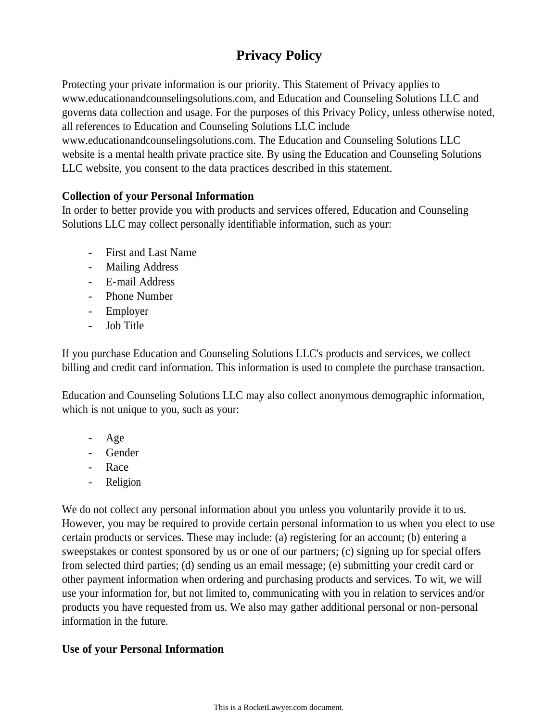# **Privacy Policy**

Protecting your private information is our priority. This Statement of Privacy applies to www.educationandcounselingsolutions.com, and Education and Counseling Solutions LLC and governs data collection and usage. For the purposes of this Privacy Policy, unless otherwise noted, all references to Education and Counseling Solutions LLC include www.educationandcounselingsolutions.com. The Education and Counseling Solutions LLC website is a mental health private practice site. By using the Education and Counseling Solutions LLC website, you consent to the data practices described in this statement.

# **Collection of your Personal Information**

In order to better provide you with products and services offered, Education and Counseling Solutions LLC may collect personally identifiable information, such as your:

- First and Last Name
- Mailing Address
- E-mail Address
- Phone Number
- Employer
- Job Title

If you purchase Education and Counseling Solutions LLC's products and services, we collect billing and credit card information. This information is used to complete the purchase transaction.

Education and Counseling Solutions LLC may also collect anonymous demographic information, which is not unique to you, such as your:

- Age
- **Gender**
- Race
- **Religion**

We do not collect any personal information about you unless you voluntarily provide it to us. However, you may be required to provide certain personal information to us when you elect to use certain products or services. These may include: (a) registering for an account; (b) entering a sweepstakes or contest sponsored by us or one of our partners; (c) signing up for special offers from selected third parties; (d) sending us an email message; (e) submitting your credit card or other payment information when ordering and purchasing products and services. To wit, we will use your information for, but not limited to, communicating with you in relation to services and/or products you have requested from us. We also may gather additional personal or non-personal information in the future.

# **Use of your Personal Information**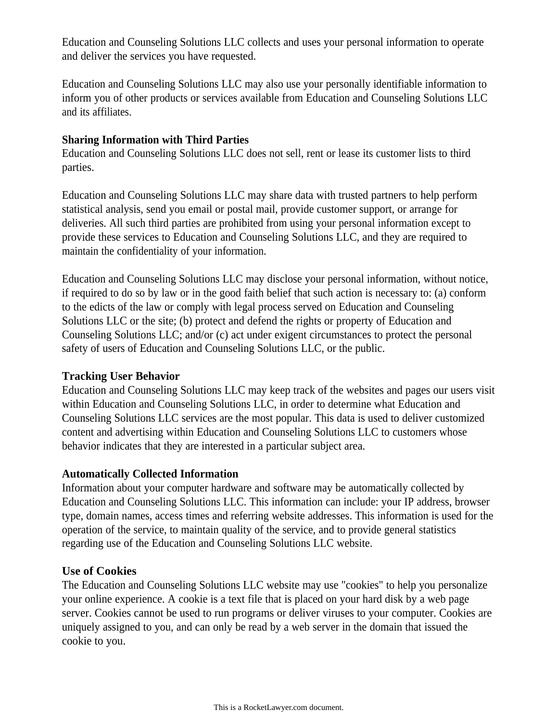Education and Counseling Solutions LLC collects and uses your personal information to operate and deliver the services you have requested.

Education and Counseling Solutions LLC may also use your personally identifiable information to inform you of other products or services available from Education and Counseling Solutions LLC and its affiliates.

# **Sharing Information with Third Parties**

Education and Counseling Solutions LLC does not sell, rent or lease its customer lists to third parties.

Education and Counseling Solutions LLC may share data with trusted partners to help perform statistical analysis, send you email or postal mail, provide customer support, or arrange for deliveries. All such third parties are prohibited from using your personal information except to provide these services to Education and Counseling Solutions LLC, and they are required to maintain the confidentiality of your information.

Education and Counseling Solutions LLC may disclose your personal information, without notice, if required to do so by law or in the good faith belief that such action is necessary to: (a) conform to the edicts of the law or comply with legal process served on Education and Counseling Solutions LLC or the site; (b) protect and defend the rights or property of Education and Counseling Solutions LLC; and/or (c) act under exigent circumstances to protect the personal safety of users of Education and Counseling Solutions LLC, or the public.

# **Tracking User Behavior**

Education and Counseling Solutions LLC may keep track of the websites and pages our users visit within Education and Counseling Solutions LLC, in order to determine what Education and Counseling Solutions LLC services are the most popular. This data is used to deliver customized content and advertising within Education and Counseling Solutions LLC to customers whose behavior indicates that they are interested in a particular subject area.

# **Automatically Collected Information**

Information about your computer hardware and software may be automatically collected by Education and Counseling Solutions LLC. This information can include: your IP address, browser type, domain names, access times and referring website addresses. This information is used for the operation of the service, to maintain quality of the service, and to provide general statistics regarding use of the Education and Counseling Solutions LLC website.

# **Use of Cookies**

The Education and Counseling Solutions LLC website may use "cookies" to help you personalize your online experience. A cookie is a text file that is placed on your hard disk by a web page server. Cookies cannot be used to run programs or deliver viruses to your computer. Cookies are uniquely assigned to you, and can only be read by a web server in the domain that issued the cookie to you.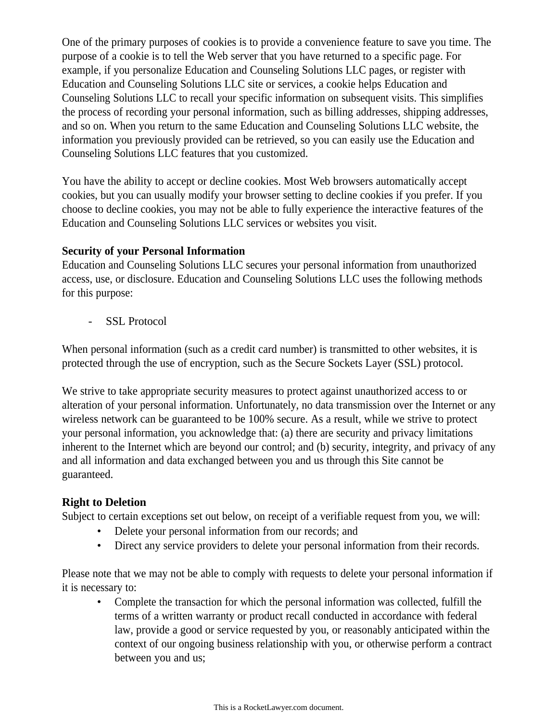One of the primary purposes of cookies is to provide a convenience feature to save you time. The purpose of a cookie is to tell the Web server that you have returned to a specific page. For example, if you personalize Education and Counseling Solutions LLC pages, or register with Education and Counseling Solutions LLC site or services, a cookie helps Education and Counseling Solutions LLC to recall your specific information on subsequent visits. This simplifies the process of recording your personal information, such as billing addresses, shipping addresses, and so on. When you return to the same Education and Counseling Solutions LLC website, the information you previously provided can be retrieved, so you can easily use the Education and Counseling Solutions LLC features that you customized.

You have the ability to accept or decline cookies. Most Web browsers automatically accept cookies, but you can usually modify your browser setting to decline cookies if you prefer. If you choose to decline cookies, you may not be able to fully experience the interactive features of the Education and Counseling Solutions LLC services or websites you visit.

## **Security of your Personal Information**

Education and Counseling Solutions LLC secures your personal information from unauthorized access, use, or disclosure. Education and Counseling Solutions LLC uses the following methods for this purpose:

SSL Protocol

When personal information (such as a credit card number) is transmitted to other websites, it is protected through the use of encryption, such as the Secure Sockets Layer (SSL) protocol.

We strive to take appropriate security measures to protect against unauthorized access to or alteration of your personal information. Unfortunately, no data transmission over the Internet or any wireless network can be guaranteed to be 100% secure. As a result, while we strive to protect your personal information, you acknowledge that: (a) there are security and privacy limitations inherent to the Internet which are beyond our control; and (b) security, integrity, and privacy of any and all information and data exchanged between you and us through this Site cannot be guaranteed.

# **Right to Deletion**

Subject to certain exceptions set out below, on receipt of a verifiable request from you, we will:

- Delete your personal information from our records; and
- Direct any service providers to delete your personal information from their records.

Please note that we may not be able to comply with requests to delete your personal information if it is necessary to:

• Complete the transaction for which the personal information was collected, fulfill the terms of a written warranty or product recall conducted in accordance with federal law, provide a good or service requested by you, or reasonably anticipated within the context of our ongoing business relationship with you, or otherwise perform a contract between you and us;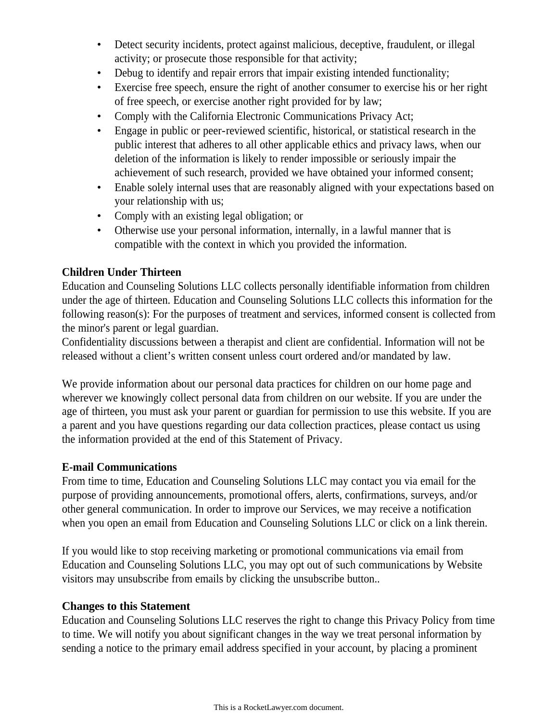- Detect security incidents, protect against malicious, deceptive, fraudulent, or illegal activity; or prosecute those responsible for that activity;
- Debug to identify and repair errors that impair existing intended functionality;
- Exercise free speech, ensure the right of another consumer to exercise his or her right of free speech, or exercise another right provided for by law;
- Comply with the California Electronic Communications Privacy Act;
- Engage in public or peer-reviewed scientific, historical, or statistical research in the public interest that adheres to all other applicable ethics and privacy laws, when our deletion of the information is likely to render impossible or seriously impair the achievement of such research, provided we have obtained your informed consent;
- Enable solely internal uses that are reasonably aligned with your expectations based on your relationship with us;
- Comply with an existing legal obligation; or
- Otherwise use your personal information, internally, in a lawful manner that is compatible with the context in which you provided the information.

# **Children Under Thirteen**

Education and Counseling Solutions LLC collects personally identifiable information from children under the age of thirteen. Education and Counseling Solutions LLC collects this information for the following reason(s): For the purposes of treatment and services, informed consent is collected from the minor's parent or legal guardian.

Confidentiality discussions between a therapist and client are confidential. Information will not be released without a client's written consent unless court ordered and/or mandated by law.

We provide information about our personal data practices for children on our home page and wherever we knowingly collect personal data from children on our website. If you are under the age of thirteen, you must ask your parent or guardian for permission to use this website. If you are a parent and you have questions regarding our data collection practices, please contact us using the information provided at the end of this Statement of Privacy.

## **E-mail Communications**

From time to time, Education and Counseling Solutions LLC may contact you via email for the purpose of providing announcements, promotional offers, alerts, confirmations, surveys, and/or other general communication. In order to improve our Services, we may receive a notification when you open an email from Education and Counseling Solutions LLC or click on a link therein.

If you would like to stop receiving marketing or promotional communications via email from Education and Counseling Solutions LLC, you may opt out of such communications by Website visitors may unsubscribe from emails by clicking the unsubscribe button..

## **Changes to this Statement**

Education and Counseling Solutions LLC reserves the right to change this Privacy Policy from time to time. We will notify you about significant changes in the way we treat personal information by sending a notice to the primary email address specified in your account, by placing a prominent